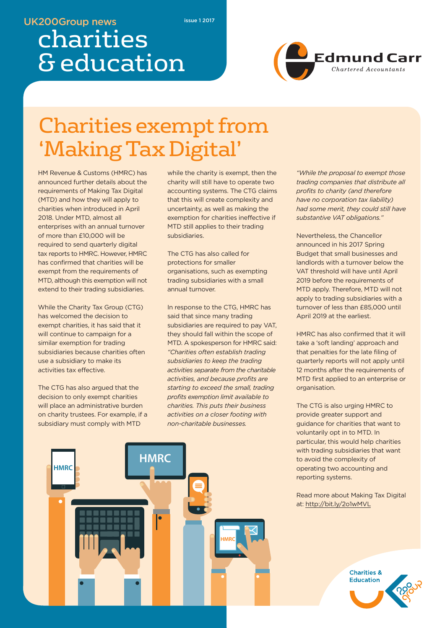### **UK200Group news**

**issue 1 2017**

# charities & education



# Charities exempt from 'Making TaxDigital'

HM Revenue & Customs (HMRC) has announced further details about the requirements of Making Tax Digital (MTD) and how they will apply to charities when introduced in April 2018. Under MTD, almost all enterprises with an annual turnover of more than £10,000 will be required to send quarterly digital tax reports to HMRC. However, HMRC has confirmed that charities will be exempt from the requirements of MTD, although this exemption will not extend to their trading subsidiaries.

While the Charity Tax Group (CTG) has welcomed the decision to exempt charities, it has said that it will continue to campaign for a similar exemption for trading subsidiaries because charities often use a subsidiary to make its activities tax effective.

The CTG has also argued that the decision to only exempt charities will place an administrative burden on charity trustees. For example, if a subsidiary must comply with MTD

while the charity is exempt, then the charity will still have to operate two accounting systems. The CTG claims that this will create complexity and uncertainty, as well as making the exemption for charities ineffective if MTD still applies to their trading subsidiaries.

The CTG has also called for protections for smaller organisations, such as exempting trading subsidiaries with a small annual turnover.

In response to the CTG, HMRC has said that since many trading subsidiaries are required to pay VAT, they should fall within the scope of MTD. A spokesperson for HMRC said: *"Charities often establish trading subsidiaries to keep the trading activities separate from the charitable activities, and because profits are starting to exceed the small, trading profits exemption limit available to charities. This puts their business activities on a closer footing with non-charitable businesses.*

*"While the proposal to exempt those trading companies that distribute all profits to charity (and therefore have no corporation tax liability) had some merit, they could still have substantive VAT obligations."*

Nevertheless, the Chancellor announced in his 2017 Spring Budget that small businesses and landlords with a turnover below the VAT threshold will have until April 2019 before the requirements of MTD apply. Therefore, MTD will not apply to trading subsidiaries with a turnover of less than £85,000 until April 2019 at the earliest.

HMRC has also confirmed that it will take a 'soft landing' approach and that penalties for the late filing of quarterly reports will not apply until 12 months after the requirements of MTD first applied to an enterprise or organisation.

The CTG is also urging HMRC to provide greater support and guidance for charities that want to voluntarily opt in to MTD. In particular, this would help charities with trading subsidiaries that want to avoid the complexity of operating two accounting and reporting systems.



Read more about Making Tax Digital at: http://bit.ly/2o1wMVL

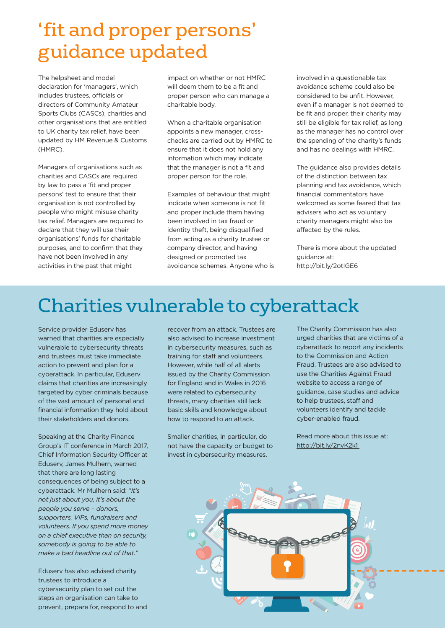## 'fit and proper persons' guidance updated

The helpsheet and model declaration for 'managers', which includes trustees, officials or directors of Community Amateur Sports Clubs (CASCs), charities and other organisations that are entitled to UK charity tax relief, have been updated by HM Revenue & Customs (HMRC).

Managers of organisations such as charities and CASCs are required by law to pass a 'fit and proper persons' test to ensure that their organisation is not controlled by people who might misuse charity tax relief. Managers are required to declare that they will use their organisations' funds for charitable purposes, and to confirm that they have not been involved in any activities in the past that might

impact on whether or not HMRC will deem them to be a fit and proper person who can manage a charitable body.

When a charitable organisation appoints a new manager, crosschecks are carried out by HMRC to ensure that it does not hold any information which may indicate that the manager is not a fit and proper person for the role.

Examples of behaviour that might indicate when someone is not fit and proper include them having been involved in tax fraud or identity theft, being disqualified from acting as a charity trustee or company director, and having designed or promoted tax avoidance schemes. Anyone who is involved in a questionable tax avoidance scheme could also be considered to be unfit. However, even if a manager is not deemed to be fit and proper, their charity may still be eligible for tax relief, as long as the manager has no control over the spending of the charity's funds and has no dealings with HMRC.

The guidance also provides details of the distinction between tax planning and tax avoidance, which financial commentators have welcomed as some feared that tax advisers who act as voluntary charity managers might also be affected by the rules.

There is more about the updated guidance at: http://bit.ly/2otIGE6

## Charities vulnerable to cyberattack

Service provider Eduserv has warned that charities are especially vulnerable to cybersecurity threats and trustees must take immediate action to prevent and plan for a cyberattack. In particular, Eduserv claims that charities are increasingly targeted by cyber criminals because of the vast amount of personal and financial information they hold about their stakeholders and donors.

Speaking at the Charity Finance Group's IT conference in March 2017, Chief Information Security Officer at Eduserv, James Mulhern, warned that there are long lasting consequences of being subject to a cyberattack. Mr Mulhern said: "*It's not just about you, it's about the people you serve – donors, supporters, VIPs, fundraisers and volunteers. If you spend more money on a chief executive than on security, somebody is going to be able to make a bad headline out of that."*

Eduserv has also advised charity trustees to introduce a cybersecurity plan to set out the steps an organisation can take to prevent, prepare for, respond to and

recover from an attack. Trustees are also advised to increase investment in cybersecurity measures, such as training for staff and volunteers. However, while half of all alerts issued by the Charity Commission for England and in Wales in 2016 were related to cybersecurity threats, many charities still lack basic skills and knowledge about how to respond to an attack.

Smaller charities, in particular, do not have the capacity or budget to invest in cybersecurity measures.

The Charity Commission has also urged charities that are victims of a cyberattack to report any incidents to the Commission and Action Fraud. Trustees are also advised to use the Charities Against Fraud website to access a range of guidance, case studies and advice to help trustees, staff and volunteers identify and tackle cyber-enabled fraud.

Read more about this issue at: http://bit.ly/2nvK2k1

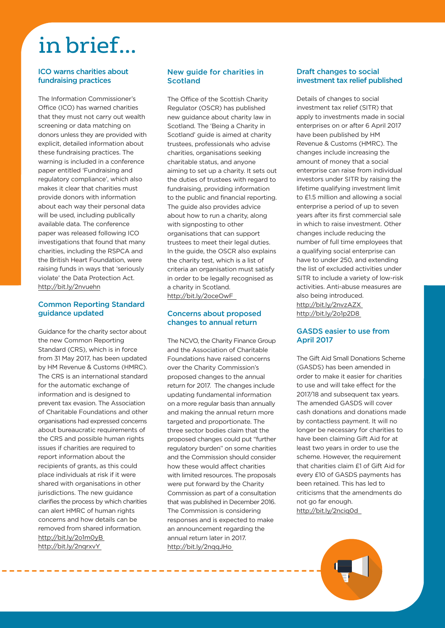# in brief...

#### **ICO warns charities about fundraising practices**

The Information Commissioner's Office (ICO) has warned charities that they must not carry out wealth screening or data matching on donors unless they are provided with explicit, detailed information about these fundraising practices. The warning is included in a conference paper entitled 'Fundraising and regulatory compliance', which also makes it clear that charities must provide donors with information about each way their personal data will be used, including publically available data. The conference paper was released following ICO investigations that found that many charities, including the RSPCA and the British Heart Foundation, were raising funds in ways that 'seriously violate' the Data Protection Act. http://bit.ly/2nvuehn

#### **Common Reporting Standard guidance updated**

Guidance for the charity sector about the new Common Reporting Standard (CRS), which is in force from 31 May 2017, has been updated by HM Revenue & Customs (HMRC). The CRS is an international standard for the automatic exchange of information and is designed to prevent tax evasion. The Association of Charitable Foundations and other organisations had expressed concerns about bureaucratic requirements of the CRS and possible human rights issues if charities are required to report information about the recipients of grants, as this could place individuals at risk if it were shared with organisations in other jurisdictions. The new guidance clarifies the process by which charities can alert HMRC of human rights concerns and how details can be removed from shared information. http://bit.ly/2o1m0yB http://bit.ly/2nqrxvY

---------------------

#### **New guide for charities in Scotland**

The Office of the Scottish Charity Regulator (OSCR) has published new guidance about charity law in Scotland. The 'Being a Charity in Scotland' guide is aimed at charity trustees, professionals who advise charities, organisations seeking charitable status, and anyone aiming to set up a charity. It sets out the duties of trustees with regard to fundraising, providing information to the public and financial reporting. The guide also provides advice about how to run a charity, along with signposting to other organisations that can support trustees to meet their legal duties. In the guide, the OSCR also explains the charity test, which is a list of criteria an organisation must satisfy in order to be legally recognised as a charity in Scotland. http://bit.ly/2oceOwF

#### **Concerns about proposed changes to annual return**

The NCVO, the Charity Finance Group and the Association of Charitable Foundations have raised concerns over the Charity Commission's proposed changes to the annual return for 2017. The changes include updating fundamental information on a more regular basis than annually and making the annual return more targeted and proportionate. The three sector bodies claim that the proposed changes could put "further regulatory burden" on some charities and the Commission should consider how these would affect charities with limited resources. The proposals were put forward by the Charity Commission as part of a consultation that was published in December 2016. The Commission is considering responses and is expected to make an announcement regarding the annual return later in 2017. http://bit.ly/2nqqJHo

#### **Draft changes to social investment tax relief published**

Details of changes to social investment tax relief (SITR) that apply to investments made in social enterprises on or after 6 April 2017 have been published by HM Revenue & Customs (HMRC). The changes include increasing the amount of money that a social enterprise can raise from individual investors under SITR by raising the lifetime qualifying investment limit to £1.5 million and allowing a social enterprise a period of up to seven years after its first commercial sale in which to raise investment. Other changes include reducing the number of full time employees that a qualifying social enterprise can have to under 250, and extending the list of excluded activities under SITR to include a variety of low-risk activities. Anti-abuse measures are also being introduced. http://bit.ly/2nvzAZX http://bit.ly/2o1p2D8

#### **GASDS easier to use from April 2017**

The Gift Aid Small Donations Scheme (GASDS) has been amended in order to make it easier for charities to use and will take effect for the 2017/18 and subsequent tax years. The amended GASDS will cover cash donations and donations made by contactless payment. It will no longer be necessary for charities to have been claiming Gift Aid for at least two years in order to use the scheme. However, the requirement that charities claim £1 of Gift Aid for every £10 of GASDS payments has been retained. This has led to criticisms that the amendments do not go far enough. http://bit.ly/2nciq0d